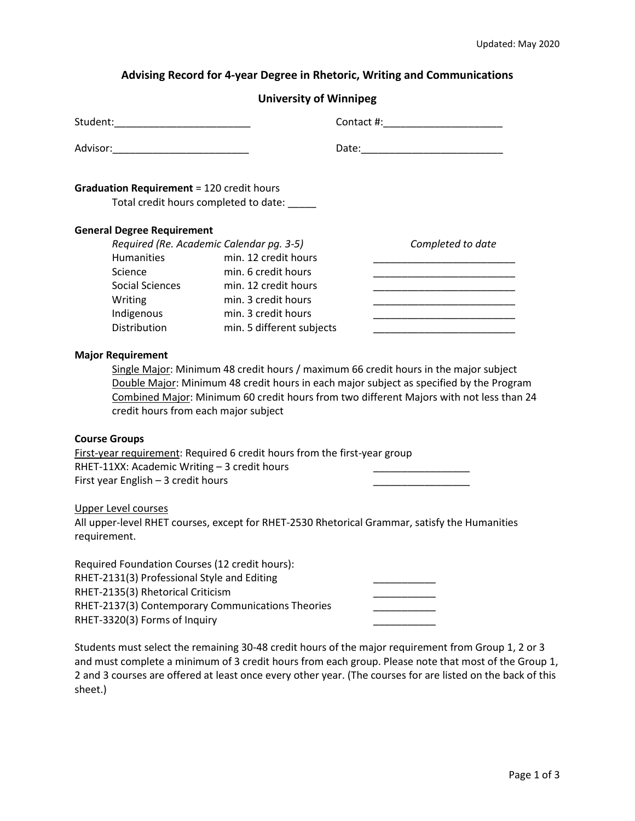## **Advising Record for 4-year Degree in Rhetoric, Writing and Communications**

## **University of Winnipeg**

| <b>Graduation Requirement = 120 credit hours</b>                                                                                                                                                                         | Total credit hours completed to date:    |                                                                                                                                                                                                                                                                            |  |
|--------------------------------------------------------------------------------------------------------------------------------------------------------------------------------------------------------------------------|------------------------------------------|----------------------------------------------------------------------------------------------------------------------------------------------------------------------------------------------------------------------------------------------------------------------------|--|
| <b>General Degree Requirement</b>                                                                                                                                                                                        |                                          |                                                                                                                                                                                                                                                                            |  |
|                                                                                                                                                                                                                          | Required (Re. Academic Calendar pg. 3-5) | Completed to date                                                                                                                                                                                                                                                          |  |
| <b>Humanities</b>                                                                                                                                                                                                        | min. 12 credit hours                     |                                                                                                                                                                                                                                                                            |  |
| Science                                                                                                                                                                                                                  | min. 6 credit hours                      |                                                                                                                                                                                                                                                                            |  |
| Social Sciences                                                                                                                                                                                                          | min. 12 credit hours                     |                                                                                                                                                                                                                                                                            |  |
| Writing                                                                                                                                                                                                                  | min. 3 credit hours                      |                                                                                                                                                                                                                                                                            |  |
| Indigenous                                                                                                                                                                                                               | min. 3 credit hours                      |                                                                                                                                                                                                                                                                            |  |
| <b>Distribution</b>                                                                                                                                                                                                      | min. 5 different subjects                |                                                                                                                                                                                                                                                                            |  |
| <b>Major Requirement</b><br>credit hours from each major subject                                                                                                                                                         |                                          | Single Major: Minimum 48 credit hours / maximum 66 credit hours in the major subject<br>Double Major: Minimum 48 credit hours in each major subject as specified by the Program<br>Combined Major: Minimum 60 credit hours from two different Majors with not less than 24 |  |
| <b>Course Groups</b>                                                                                                                                                                                                     |                                          |                                                                                                                                                                                                                                                                            |  |
| First-year requirement: Required 6 credit hours from the first-year group<br>RHET-11XX: Academic Writing - 3 credit hours<br>First year English - 3 credit hours                                                         |                                          |                                                                                                                                                                                                                                                                            |  |
| <b>Upper Level courses</b><br>requirement.                                                                                                                                                                               |                                          | All upper-level RHET courses, except for RHET-2530 Rhetorical Grammar, satisfy the Humanities                                                                                                                                                                              |  |
| Required Foundation Courses (12 credit hours):<br>RHET-2131(3) Professional Style and Editing<br>RHET-2135(3) Rhetorical Criticism<br>RHET-2137(3) Contemporary Communications Theories<br>RHET-3320(3) Forms of Inquiry |                                          |                                                                                                                                                                                                                                                                            |  |

Students must select the remaining 30-48 credit hours of the major requirement from Group 1, 2 or 3 and must complete a minimum of 3 credit hours from each group. Please note that most of the Group 1, 2 and 3 courses are offered at least once every other year. (The courses for are listed on the back of this sheet.)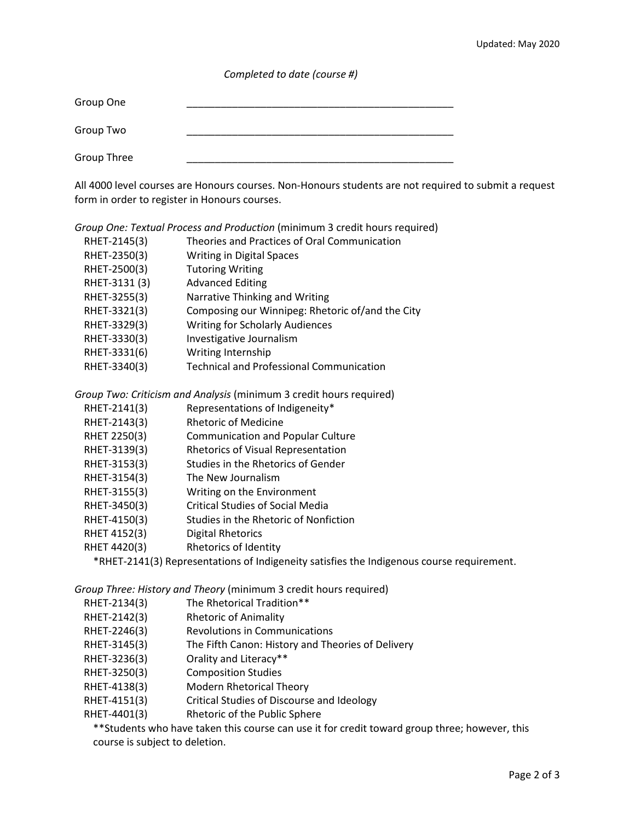*Completed to date (course #)*

| Group One   |  |
|-------------|--|
| Group Two   |  |
| Group Three |  |

All 4000 level courses are Honours courses. Non-Honours students are not required to submit a request form in order to register in Honours courses.

| Group One: Textual Process and Production (minimum 3 credit hours required) |               |                                                  |  |
|-----------------------------------------------------------------------------|---------------|--------------------------------------------------|--|
|                                                                             | RHET-2145(3)  | Theories and Practices of Oral Communication     |  |
|                                                                             | RHET-2350(3)  | <b>Writing in Digital Spaces</b>                 |  |
|                                                                             | RHET-2500(3)  | <b>Tutoring Writing</b>                          |  |
|                                                                             | RHET-3131 (3) | <b>Advanced Editing</b>                          |  |
|                                                                             | RHET-3255(3)  | Narrative Thinking and Writing                   |  |
|                                                                             | RHET-3321(3)  | Composing our Winnipeg: Rhetoric of/and the City |  |
|                                                                             | RHET-3329(3)  | <b>Writing for Scholarly Audiences</b>           |  |
|                                                                             | RHET-3330(3)  | Investigative Journalism                         |  |
|                                                                             | RHET-3331(6)  | Writing Internship                               |  |
|                                                                             | RHET-3340(3)  | <b>Technical and Professional Communication</b>  |  |
|                                                                             |               |                                                  |  |

*Group Two: Criticism and Analysis* (minimum 3 credit hours required)

- RHET-2141(3) Representations of Indigeneity\*
- RHET-2143(3) Rhetoric of Medicine
- RHET 2250(3) Communication and Popular Culture
- RHET-3139(3) Rhetorics of Visual Representation
- RHET-3153(3) Studies in the Rhetorics of Gender
- RHET-3154(3) The New Journalism
- RHET-3155(3) Writing on the Environment
- RHET-3450(3) Critical Studies of Social Media
- RHET-4150(3) Studies in the Rhetoric of Nonfiction
- RHET 4152(3) Digital Rhetorics
- RHET 4420(3) Rhetorics of Identity

\*RHET-2141(3) Representations of Indigeneity satisfies the Indigenous course requirement.

*Group Three: History and Theory* (minimum 3 credit hours required)

- RHET-2134(3) The Rhetorical Tradition\*\*
- RHET-2142(3) Rhetoric of Animality
- RHET-2246(3) Revolutions in Communications
- RHET-3145(3) The Fifth Canon: History and Theories of Delivery
- RHET-3236(3) Orality and Literacy\*\*
- RHET-3250(3) Composition Studies
- RHET-4138(3) Modern Rhetorical Theory
- RHET-4151(3) Critical Studies of Discourse and Ideology
- RHET-4401(3) Rhetoric of the Public Sphere

\*\*Students who have taken this course can use it for credit toward group three; however, this course is subject to deletion.